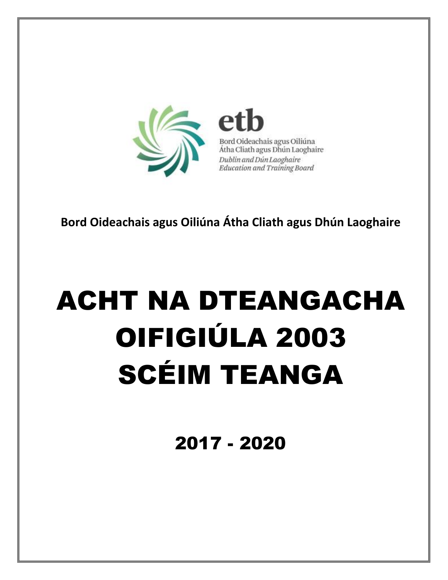

Bord Oideachais agus Oiliúna Átha Cliath agus Dhún Laoghaire Dublin and Dún Laoghaire **Education and Training Board** 

Bord Oideachais agus Oiliúna Átha Cliath agus Dhún Laoghaire

# **ACHT NA DTEANGACHA** OIFIGIÚLA 2003 **SCÉIM TEANGA**

2017 - 2020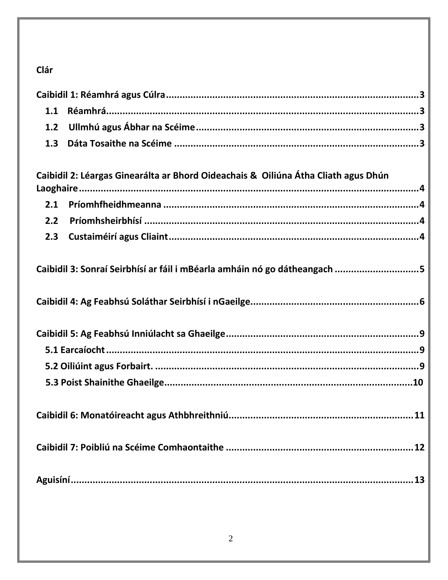# Clár

| 1.1 |                                                                                    |
|-----|------------------------------------------------------------------------------------|
| 1.2 |                                                                                    |
| 1.3 |                                                                                    |
|     |                                                                                    |
|     | Caibidil 2: Léargas Ginearálta ar Bhord Oideachais & Oiliúna Átha Cliath agus Dhún |
|     |                                                                                    |
| 2.1 |                                                                                    |
| 2.2 |                                                                                    |
| 2.3 |                                                                                    |
|     |                                                                                    |
|     | Caibidil 3: Sonraí Seirbhísí ar fáil i mBéarla amháin nó go dátheangach 5          |
|     |                                                                                    |
|     |                                                                                    |
|     |                                                                                    |
|     |                                                                                    |
|     |                                                                                    |
|     |                                                                                    |
|     |                                                                                    |
|     |                                                                                    |
|     | 11                                                                                 |
|     |                                                                                    |
|     |                                                                                    |
|     |                                                                                    |
|     |                                                                                    |
|     |                                                                                    |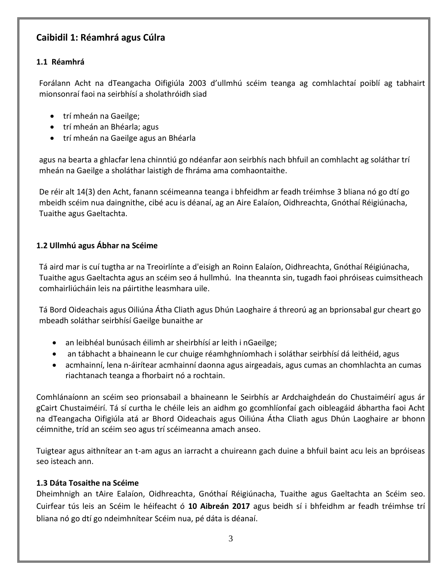# <span id="page-2-0"></span>**Caibidil 1: Réamhrá agus Cúlra**

#### <span id="page-2-1"></span>**1.1 Réamhrá**

Forálann Acht na dTeangacha Oifigiúla 2003 d'ullmhú scéim teanga ag comhlachtaí poiblí ag tabhairt mionsonraí faoi na seirbhísí a sholathróidh siad

- trí mheán na Gaeilge:
- trí mheán an Bhéarla; agus
- trí mheán na Gaeilge agus an Bhéarla

agus na bearta a ghlacfar lena chinntiú go ndéanfar aon seirbhís nach bhfuil an comhlacht ag soláthar trí mheán na Gaeilge a sholáthar laistigh de fhráma ama comhaontaithe.

De réir alt 14(3) den Acht, fanann scéimeanna teanga i bhfeidhm ar feadh tréimhse 3 bliana nó go dtí go mbeidh scéim nua daingnithe, cibé acu is déanaí, ag an Aire Ealaíon, Oidhreachta, Gnóthaí Réigiúnacha, Tuaithe agus Gaeltachta.

#### <span id="page-2-2"></span>**1.2 Ullmhú agus Ábhar na Scéime**

Tá aird mar is cuí tugtha ar na Treoirlínte a d'eisigh an Roinn Ealaíon, Oidhreachta, Gnóthaí Réigiúnacha, Tuaithe agus Gaeltachta agus an scéim seo á hullmhú. Ina theannta sin, tugadh faoi phróiseas cuimsitheach comhairliúcháin leis na páirtithe leasmhara uile.

Tá Bord Oideachais agus Oiliúna Átha Cliath agus Dhún Laoghaire á threorú ag an bprionsabal gur cheart go mbeadh soláthar seirbhísí Gaeilge bunaithe ar

- an leibhéal bunúsach éilimh ar sheirbhísí ar leith i nGaeilge;
- an tábhacht a bhaineann le cur chuige réamhghníomhach i soláthar seirbhísí dá leithéid, agus
- acmhainní, lena n-áirítear acmhainní daonna agus airgeadais, agus cumas an chomhlachta an cumas riachtanach teanga a fhorbairt nó a rochtain.

Comhlánaíonn an scéim seo prionsabail a bhaineann le Seirbhís ar Ardchaighdeán do Chustaiméirí agus ár gCairt Chustaiméirí. Tá sí curtha le chéile leis an aidhm go gcomhlíonfaí gach oibleagáid ábhartha faoi Acht na dTeangacha Oifigiúla atá ar Bhord Oideachais agus Oiliúna Átha Cliath agus Dhún Laoghaire ar bhonn céimnithe, tríd an scéim seo agus trí scéimeanna amach anseo.

Tuigtear agus aithnítear an t-am agus an iarracht a chuireann gach duine a bhfuil baint acu leis an bpróiseas seo isteach ann.

#### <span id="page-2-3"></span>**1.3 Dáta Tosaithe na Scéime**

Dheimhnigh an tAire Ealaíon, Oidhreachta, Gnóthaí Réigiúnacha, Tuaithe agus Gaeltachta an Scéim seo. Cuirfear tús leis an Scéim le héifeacht ó **10 Aibreán 2017** agus beidh sí i bhfeidhm ar feadh tréimhse trí bliana nó go dtí go ndeimhnítear Scéim nua, pé dáta is déanaí.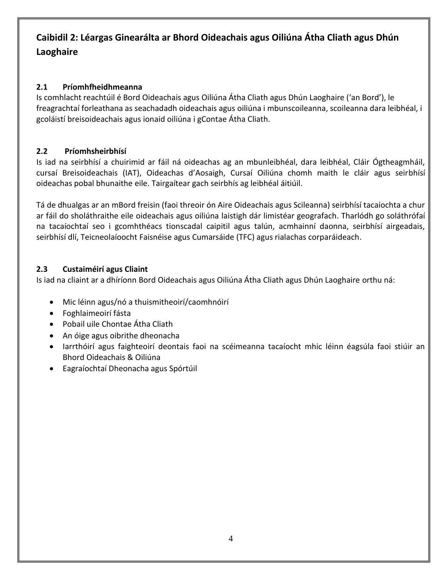# <span id="page-3-0"></span>**Caibidil 2: Léargas Ginearálta ar Bhord Oideachais agus Oiliúna Átha Cliath agus Dhún Laoghaire**

#### <span id="page-3-1"></span>**2.1 Príomhfheidhmeanna**

Is comhlacht reachtúil é Bord Oideachais agus Oiliúna Átha Cliath agus Dhún Laoghaire ('an Bord'), le freagrachtaí forleathana as seachadadh oideachais agus oiliúna i mbunscoileanna, scoileanna dara leibhéal, i gcoláistí breisoideachais agus ionaid oiliúna i gContae Átha Cliath.

#### <span id="page-3-2"></span>**2.2 Príomhsheirbhísí**

Is iad na seirbhísí a chuirimid ar fáil ná oideachas ag an mbunleibhéal, dara leibhéal, Cláir Ógtheagmháil, cursaí Breisoideachais (IAT), Oideachas d'Aosaigh, Cursaí Oiliúna chomh maith le cláir agus seirbhísí oideachas pobal bhunaithe eile. Tairgaítear gach seirbhís ag leibhéal áitiúil.

Tá de dhualgas ar an mBord freisin (faoi threoir ón Aire Oideachais agus Scileanna) seirbhísí tacaíochta a chur ar fáil do sholáthraithe eile oideachais agus oiliúna laistigh dár limistéar geografach. Tharlódh go soláthrófaí na tacaíochtaí seo i gcomhthéacs tionscadal caipitil agus talún, acmhainní daonna, seirbhísí airgeadais, seirbhísí dlí, Teicneolaíoocht Faisnéise agus Cumarsáide (TFC) agus rialachas corparáideach.

#### <span id="page-3-3"></span>**2.3 Custaiméirí agus Cliaint**

Is iad na cliaint ar a dhíríonn Bord Oideachais agus Oiliúna Átha Cliath agus Dhún Laoghaire orthu ná:

- Mic léinn agus/nó a thuismitheoirí/caomhnóirí
- Foghlaimeoirí fásta
- Pobail uile Chontae Átha Cliath
- An óige agus oibrithe dheonacha
- Iarrthóirí agus faighteoirí deontais faoi na scéimeanna tacaíocht mhic léinn éagsúla faoi stiúir an Bhord Oideachais & Oiliúna
- Eagraíochtaí Dheonacha agus Spórtúil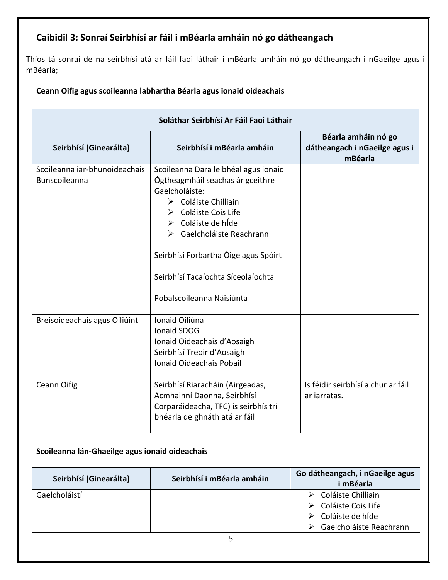# <span id="page-4-0"></span>**Caibidil 3: Sonraí Seirbhísí ar fáil i mBéarla amháin nó go dátheangach**

Thíos tá sonraí de na seirbhísí atá ar fáil faoi láthair i mBéarla amháin nó go dátheangach i nGaeilge agus i mBéarla;

#### **Ceann Oifig agus scoileanna labhartha Béarla agus ionaid oideachais**

| Soláthar Seirbhísí Ar Fáil Faoi Láthair        |                                                                                                                                                                                                                                                                                                                                        |                                                                 |  |
|------------------------------------------------|----------------------------------------------------------------------------------------------------------------------------------------------------------------------------------------------------------------------------------------------------------------------------------------------------------------------------------------|-----------------------------------------------------------------|--|
| Seirbhísí (Ginearálta)                         | Seirbhísí i mBéarla amháin                                                                                                                                                                                                                                                                                                             | Béarla amháin nó go<br>dátheangach i nGaeilge agus i<br>mBéarla |  |
| Scoileanna iar-bhunoideachais<br>Bunscoileanna | Scoileanna Dara leibhéal agus ionaid<br>Ógtheagmháil seachas ár gceithre<br>Gaelcholáiste:<br>$\triangleright$ Coláiste Chilliain<br>> Coláiste Cois Life<br>$\triangleright$ Coláiste de híde<br>▶ Gaelcholáiste Reachrann<br>Seirbhísí Forbartha Óige agus Spóirt<br>Seirbhísí Tacaíochta Síceolaíochta<br>Pobalscoileanna Náisiúnta |                                                                 |  |
| Breisoideachais agus Oiliúint                  | Ionaid Oiliúna<br>Ionaid SDOG<br>Ionaid Oideachais d'Aosaigh<br>Seirbhísí Treoir d'Aosaigh<br>Ionaid Oideachais Pobail                                                                                                                                                                                                                 |                                                                 |  |
| <b>Ceann Oifig</b>                             | Seirbhísí Riaracháin (Airgeadas,<br>Acmhainní Daonna, Seirbhísí<br>Corparáideacha, TFC) is seirbhís trí<br>bhéarla de ghnáth atá ar fáil                                                                                                                                                                                               | Is féidir seirbhísí a chur ar fáil<br>ar jarratas.              |  |

#### **Scoileanna lán-Ghaeilge agus ionaid oideachais**

| Seirbhísí (Ginearálta) | Seirbhísí i mBéarla amháin | Go dátheangach, i nGaeilge agus<br>i mBéarla                                                                    |
|------------------------|----------------------------|-----------------------------------------------------------------------------------------------------------------|
| Gaelcholáistí          |                            | $\triangleright$ Coláiste Chilliain<br>$\triangleright$ Coláiste Cois Life<br>$\triangleright$ Coláiste de híde |
|                        |                            | Gaelcholáiste Reachrann<br>➤                                                                                    |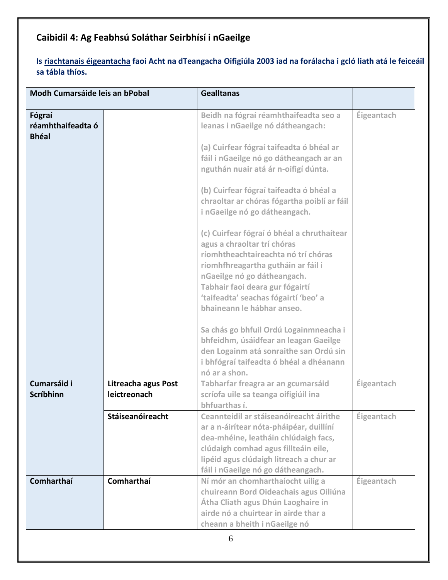# <span id="page-5-0"></span>**Caibidil 4: Ag Feabhsú Soláthar Seirbhísí i nGaeilge**

#### **Is riachtanais éigeantacha faoi Acht na dTeangacha Oifigiúla 2003 iad na forálacha i gcló liath atá le feiceáil sa tábla thíos.**

| Modh Cumarsáide leis an bPobal              |                                     | <b>Gealltanas</b>                                                                                                                                                                                                                                                                                                                                                                                                                                                                                                                                                                                                                                                                                                                                                                                              |                   |
|---------------------------------------------|-------------------------------------|----------------------------------------------------------------------------------------------------------------------------------------------------------------------------------------------------------------------------------------------------------------------------------------------------------------------------------------------------------------------------------------------------------------------------------------------------------------------------------------------------------------------------------------------------------------------------------------------------------------------------------------------------------------------------------------------------------------------------------------------------------------------------------------------------------------|-------------------|
| Fógraí<br>réamhthaifeadta ó<br><b>Bhéal</b> |                                     | Beidh na fógraí réamhthaifeadta seo a<br>leanas i nGaeilge nó dátheangach:<br>(a) Cuirfear fógraí taifeadta ó bhéal ar<br>fáil i nGaeilge nó go dátheangach ar an<br>nguthán nuair atá ár n-oifigí dúnta.<br>(b) Cuirfear fógraí taifeadta ó bhéal a<br>chraoltar ar chóras fógartha poiblí ar fáil<br>i nGaeilge nó go dátheangach.<br>(c) Cuirfear fógraí ó bhéal a chruthaítear<br>agus a chraoltar trí chóras<br>ríomhtheachtaireachta nó trí chóras<br>ríomhfhreagartha gutháin ar fáil i<br>nGaeilge nó go dátheangach.<br>Tabhair faoi deara gur fógairtí<br>'taifeadta' seachas fógairtí 'beo' a<br>bhaineann le hábhar anseo.<br>Sa chás go bhfuil Ordú Logainmneacha i<br>bhfeidhm, úsáidfear an leagan Gaeilge<br>den Logainm atá sonraithe san Ordú sin<br>i bhfógraí taifeadta ó bhéal a dhéanann | Éigeantach        |
| Cumarsáid i<br>Scríbhinn                    | Litreacha agus Post<br>leictreonach | nó ar a shon.<br>Tabharfar freagra ar an gcumarsáid<br>scríofa uile sa teanga oifigiúil ina<br>bhfuarthas í.                                                                                                                                                                                                                                                                                                                                                                                                                                                                                                                                                                                                                                                                                                   | Éigeantach        |
|                                             | Stáiseanóireacht                    | Ceannteidil ar stáiseanóireacht áirithe<br>ar a n-áirítear nóta-pháipéar, duillíní<br>dea-mhéine, leatháin chlúdaigh facs,<br>clúdaigh comhad agus fillteáin eile,<br>lipéid agus clúdaigh litreach a chur ar<br>fáil i nGaeilge nó go dátheangach.                                                                                                                                                                                                                                                                                                                                                                                                                                                                                                                                                            | Éigeantach        |
| Comharthaí                                  | Comharthaí                          | Ní mór an chomharthaíocht uilig a<br>chuireann Bord Oideachais agus Oiliúna<br>Átha Cliath agus Dhún Laoghaire in<br>airde nó a chuirtear in airde thar a<br>cheann a bheith i nGaeilge nó                                                                                                                                                                                                                                                                                                                                                                                                                                                                                                                                                                                                                     | <b>Éigeantach</b> |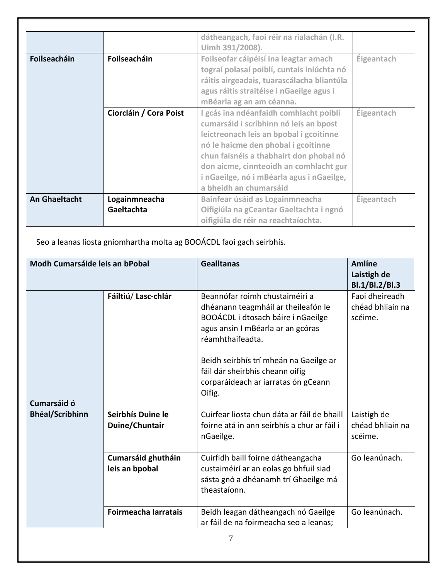|                      |                             | dátheangach, faoi réir na rialachán (I.R.<br>Uimh 391/2008).                                                                                                                                                                                                                                                                   |                   |
|----------------------|-----------------------------|--------------------------------------------------------------------------------------------------------------------------------------------------------------------------------------------------------------------------------------------------------------------------------------------------------------------------------|-------------------|
| Foilseacháin         | Foilseacháin                | Foilseofar cáipéisí ina leagtar amach<br>tograí polasaí poiblí, cuntais iniúchta nó<br>ráitis airgeadais, tuarascálacha bliantúla<br>agus ráitis straitéise i nGaeilge agus i<br>mBéarla ag an am céanna.                                                                                                                      | Éigeantach        |
|                      | Ciorcláin / Cora Poist      | I gcás ina ndéanfaidh comhlacht poiblí<br>cumarsáid i scríbhinn nó leis an bpost<br>leictreonach leis an bpobal i gcoitinne<br>nó le haicme den phobal i gcoitinne<br>chun faisnéis a thabhairt don phobal nó<br>don aicme, cinnteoidh an comhlacht gur<br>i nGaeilge, nó i mBéarla agus i nGaeilge,<br>a bheidh an chumarsáid | Éigeantach        |
| <b>An Ghaeltacht</b> | Logainmneacha<br>Gaeltachta | Bainfear úsáid as Logainmneacha<br>Oifigiúla na gCeantar Gaeltachta i ngnó<br>oifigiúla de réir na reachtaíochta.                                                                                                                                                                                                              | <b>Éigeantach</b> |

Seo a leanas liosta gníomhartha molta ag BOOÁCDL faoi gach seirbhís.

| Modh Cumarsáide leis an bPobal |                                      | <b>Gealltanas</b>                                                                                                                                                                                                                                                                                  | <b>Amlíne</b><br>Laistigh de<br>Bl.1/Bl.2/Bl.3 |
|--------------------------------|--------------------------------------|----------------------------------------------------------------------------------------------------------------------------------------------------------------------------------------------------------------------------------------------------------------------------------------------------|------------------------------------------------|
| Cumarsáid ó                    | Fáiltiú/Lasc-chlár                   | Beannófar roimh chustaiméirí a<br>dhéanann teagmháil ar theileafón le<br>BOOÁCDL i dtosach báire i nGaeilge<br>agus ansin I mBéarla ar an gcóras<br>réamhthaifeadta.<br>Beidh seirbhís trí mheán na Gaeilge ar<br>fáil dár sheirbhís cheann oifig<br>corparáideach ar iarratas ón gCeann<br>Oifig. | Faoi dheireadh<br>chéad bhliain na<br>scéime.  |
| <b>Bhéal/Scríbhinn</b>         | Seirbhís Duine le<br>Duine/Chuntair  | Cuirfear liosta chun dáta ar fáil de bhaill<br>foirne atá in ann seirbhís a chur ar fáil i<br>nGaeilge.                                                                                                                                                                                            | Laistigh de<br>chéad bhliain na<br>scéime.     |
|                                | Cumarsáid ghutháin<br>leis an bpobal | Cuirfidh baill foirne dátheangacha<br>custaiméirí ar an eolas go bhfuil siad<br>sásta gnó a dhéanamh trí Ghaeilge má<br>theastaíonn.                                                                                                                                                               | Go leanúnach.                                  |
|                                | Foirmeacha Iarratais                 | Beidh leagan dátheangach nó Gaeilge<br>ar fáil de na foirmeacha seo a leanas;                                                                                                                                                                                                                      | Go leanúnach.                                  |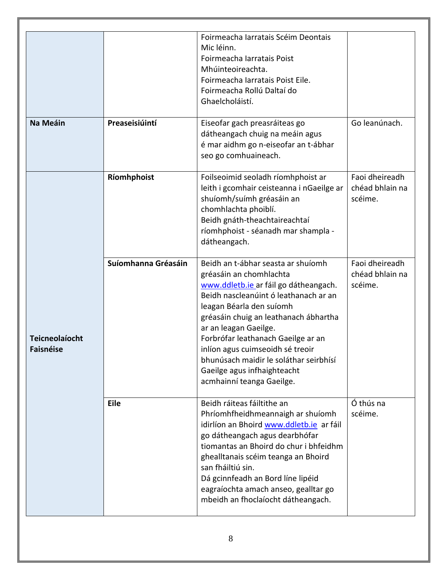|                                           |                     | Foirmeacha Iarratais Scéim Deontais<br>Mic léinn.<br>Foirmeacha Iarratais Poist<br>Mhúinteoireachta.<br>Foirmeacha Iarratais Poist Eile.<br>Foirmeacha Rollú Daltaí do<br>Ghaelcholáistí.                                                                                                                                                                                                                                     |                                              |
|-------------------------------------------|---------------------|-------------------------------------------------------------------------------------------------------------------------------------------------------------------------------------------------------------------------------------------------------------------------------------------------------------------------------------------------------------------------------------------------------------------------------|----------------------------------------------|
| Na Meáin                                  | Preaseisiúintí      | Eiseofar gach preasráiteas go<br>dátheangach chuig na meáin agus<br>é mar aidhm go n-eiseofar an t-ábhar<br>seo go comhuaineach.                                                                                                                                                                                                                                                                                              | Go leanúnach.                                |
|                                           | Ríomhphoist         | Foilseoimid seoladh ríomhphoist ar<br>leith i gcomhair ceisteanna i nGaeilge ar<br>shuíomh/suímh gréasáin an<br>chomhlachta phoiblí.<br>Beidh gnáth-theachtaireachtaí<br>ríomhphoist - séanadh mar shampla -<br>dátheangach.                                                                                                                                                                                                  | Faoi dheireadh<br>chéad bhlain na<br>scéime. |
| <b>Teicneolaíocht</b><br><b>Faisnéise</b> | Suíomhanna Gréasáin | Beidh an t-ábhar seasta ar shuíomh<br>gréasáin an chomhlachta<br>www.ddletb.ie ar fáil go dátheangach.<br>Beidh nascleanúint ó leathanach ar an<br>leagan Béarla den suíomh<br>gréasáin chuig an leathanach ábhartha<br>ar an leagan Gaeilge.<br>Forbrófar leathanach Gaeilge ar an<br>inlíon agus cuimseoidh sé treoir<br>bhunúsach maidir le soláthar seirbhísí<br>Gaeilge agus infhaighteacht<br>acmhainní teanga Gaeilge. | Faoi dheireadh<br>chéad bhlain na<br>scéime. |
|                                           | Eile                | Beidh ráiteas fáiltithe an<br>Phríomhfheidhmeannaigh ar shuíomh<br>idirlíon an Bhoird www.ddletb.ie ar fáil<br>go dátheangach agus dearbhófar<br>tiomantas an Bhoird do chur i bhfeidhm<br>ghealltanais scéim teanga an Bhoird<br>san fháiltiú sin.<br>Dá gcinnfeadh an Bord líne lipéid<br>eagraíochta amach anseo, gealltar go<br>mbeidh an fhoclaíocht dátheangach.                                                        | Ó thús na<br>scéime.                         |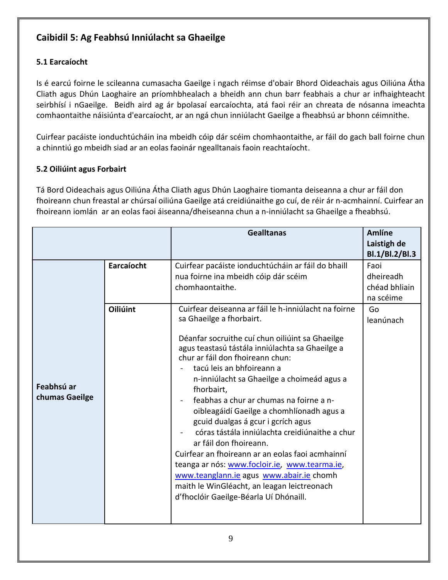# <span id="page-8-0"></span>**Caibidil 5: Ag Feabhsú Inniúlacht sa Ghaeilge**

#### <span id="page-8-1"></span>**5.1 Earcaíocht**

Is é earcú foirne le scileanna cumasacha Gaeilge i ngach réimse d'obair Bhord Oideachais agus Oiliúna Átha Cliath agus Dhún Laoghaire an príomhbhealach a bheidh ann chun barr feabhais a chur ar infhaighteacht seirbhísí i nGaeilge. Beidh aird ag ár bpolasaí earcaíochta, atá faoi réir an chreata de nósanna imeachta comhaontaithe náisiúnta d'earcaíocht, ar an ngá chun inniúlacht Gaeilge a fheabhsú ar bhonn céimnithe.

Cuirfear pacáiste ionduchtúcháin ina mbeidh cóip dár scéim chomhaontaithe, ar fáil do gach ball foirne chun a chinntiú go mbeidh siad ar an eolas faoinár ngealltanais faoin reachtaíocht.

#### <span id="page-8-2"></span>**5.2 Oiliúint agus Forbairt**

Tá Bord Oideachais agus Oiliúna Átha Cliath agus Dhún Laoghaire tiomanta deiseanna a chur ar fáil don fhoireann chun freastal ar chúrsaí oiliúna Gaeilge atá creidiúnaithe go cuí, de réir ár n-acmhainní. Cuirfear an fhoireann iomlán ar an eolas faoi áiseanna/dheiseanna chun a n-inniúlacht sa Ghaeilge a fheabhsú.

|                              |                               | <b>Gealltanas</b>                                                                                                                                                                                                                                                                                                                                                                                                                                                                                                                                                                                                                                                                                               | <b>Amlíne</b><br>Laistigh de<br>Bl.1/Bl.2/Bl.3        |
|------------------------------|-------------------------------|-----------------------------------------------------------------------------------------------------------------------------------------------------------------------------------------------------------------------------------------------------------------------------------------------------------------------------------------------------------------------------------------------------------------------------------------------------------------------------------------------------------------------------------------------------------------------------------------------------------------------------------------------------------------------------------------------------------------|-------------------------------------------------------|
|                              | Earcaíocht<br><b>Oiliúint</b> | Cuirfear pacáiste ionduchtúcháin ar fáil do bhaill<br>nua foirne ina mbeidh cóip dár scéim<br>chomhaontaithe.<br>Cuirfear deiseanna ar fáil le h-inniúlacht na foirne                                                                                                                                                                                                                                                                                                                                                                                                                                                                                                                                           | Faoi<br>dheireadh<br>chéad bhliain<br>na scéime<br>Go |
| Feabhsú ar<br>chumas Gaeilge |                               | sa Ghaeilge a fhorbairt.<br>Déanfar socruithe cuí chun oiliúint sa Ghaeilge<br>agus teastasú tástála inniúlachta sa Ghaeilge a<br>chur ar fáil don fhoireann chun:<br>tacú leis an bhfoireann a<br>n-inniúlacht sa Ghaeilge a choimeád agus a<br>fhorbairt,<br>feabhas a chur ar chumas na foirne a n-<br>oibleagáidí Gaeilge a chomhlíonadh agus a<br>gcuid dualgas á gcur i gcrích agus<br>córas tástála inniúlachta creidiúnaithe a chur<br>ar fáil don fhoireann.<br>Cuirfear an fhoireann ar an eolas faoi acmhainní<br>teanga ar nós: www.focloir.ie, www.tearma.ie,<br>www.teanglann.ie agus www.abair.ie chomh<br>maith le WinGléacht, an leagan leictreonach<br>d'fhoclóir Gaeilge-Béarla Uí Dhónaill. | leanúnach                                             |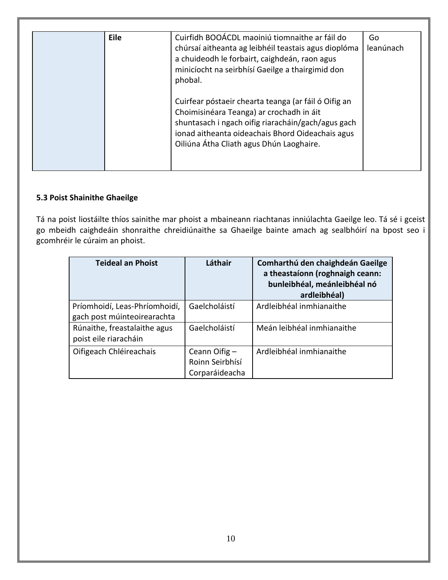| Eile | Cuirfidh BOOÁCDL maoiniú tiomnaithe ar fáil do<br>chúrsaí aitheanta ag leibhéil teastais agus dioplóma<br>a chuideodh le forbairt, caighdeán, raon agus<br>minicíocht na seirbhísí Gaeilge a thairgimid don<br>phobal.                                 | Go<br>leanúnach |
|------|--------------------------------------------------------------------------------------------------------------------------------------------------------------------------------------------------------------------------------------------------------|-----------------|
|      | Cuirfear póstaeir chearta teanga (ar fáil ó Oifig an<br>Choimisinéara Teanga) ar crochadh in áit<br>shuntasach i ngach oifig riaracháin/gach/agus gach<br>ionad aitheanta oideachais Bhord Oideachais agus<br>Oiliúna Átha Cliath agus Dhún Laoghaire. |                 |

#### **5.3 Poist Shainithe Ghaeilge**

Tá na poist liostáilte thíos sainithe mar phoist a mbaineann riachtanas inniúlachta Gaeilge leo. Tá sé i gceist go mbeidh caighdeáin shonraithe chreidiúnaithe sa Ghaeilge bainte amach ag sealbhóirí na bpost seo i gcomhréir le cúraim an phoist.

| <b>Teideal an Phoist</b>                                     | Láthair                                            | Comharthú den chaighdeán Gaeilge<br>a theastaíonn (roghnaigh ceann:<br>bunleibhéal, meánleibhéal nó<br>ardleibhéal) |
|--------------------------------------------------------------|----------------------------------------------------|---------------------------------------------------------------------------------------------------------------------|
| Príomhoidí, Leas-Phríomhoidí,<br>gach post múinteoirearachta | Gaelcholáistí                                      | Ardleibhéal inmhianaithe                                                                                            |
| Rúnaithe, freastalaithe agus<br>poist eile riaracháin        | Gaelcholáistí                                      | Meán leibhéal inmhianaithe                                                                                          |
| Oifigeach Chléireachais                                      | Ceann Oifig -<br>Roinn Seirbhísí<br>Corparáideacha | Ardleibhéal inmhianaithe                                                                                            |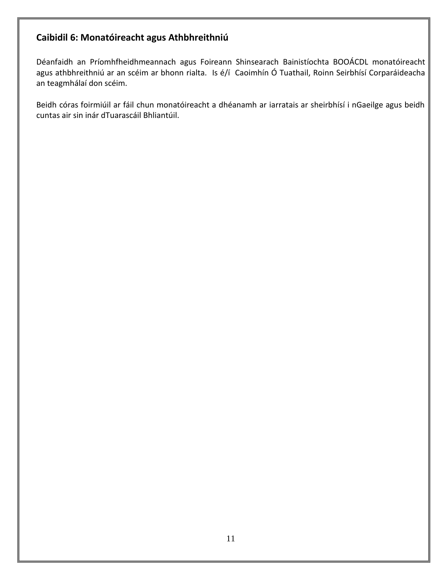## <span id="page-10-0"></span>**Caibidil 6: Monatóireacht agus Athbhreithniú**

Déanfaidh an Príomhfheidhmeannach agus Foireann Shinsearach Bainistíochta BOOÁCDL monatóireacht agus athbhreithniú ar an scéim ar bhonn rialta. Is é/í Caoimhín Ó Tuathail, Roinn Seirbhísí Corparáideacha an teagmhálaí don scéim.

Beidh córas foirmiúil ar fáil chun monatóireacht a dhéanamh ar iarratais ar sheirbhísí i nGaeilge agus beidh cuntas air sin inár dTuarascáil Bhliantúil.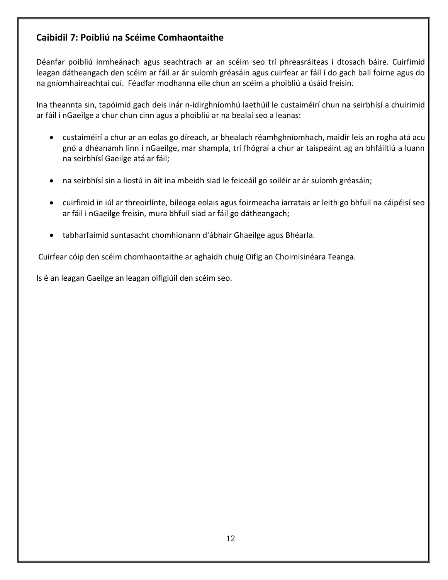## <span id="page-11-0"></span>**Caibidil 7: Poibliú na Scéime Comhaontaithe**

Déanfar poibliú inmheánach agus seachtrach ar an scéim seo trí phreasráiteas i dtosach báire. Cuirfimid leagan dátheangach den scéim ar fáil ar ár suíomh gréasáin agus cuirfear ar fáil í do gach ball foirne agus do na gníomhaireachtaí cuí. Féadfar modhanna eile chun an scéim a phoibliú a úsáid freisin.

Ina theannta sin, tapóimid gach deis inár n-idirghníomhú laethúil le custaiméirí chun na seirbhísí a chuirimid ar fáil i nGaeilge a chur chun cinn agus a phoibliú ar na bealaí seo a leanas:

- custaiméirí a chur ar an eolas go díreach, ar bhealach réamhghníomhach, maidir leis an rogha atá acu gnó a dhéanamh linn i nGaeilge, mar shampla, trí fhógraí a chur ar taispeáint ag an bhfáiltiú a luann na seirbhísí Gaeilge atá ar fáil;
- na seirbhísí sin a liostú in áit ina mbeidh siad le feiceáil go soiléir ar ár suíomh gréasáin;
- cuirfimid in iúl ar threoirlínte, bileoga eolais agus foirmeacha iarratais ar leith go bhfuil na cáipéisí seo ar fáil i nGaeilge freisin, mura bhfuil siad ar fáil go dátheangach;
- tabharfaimid suntasacht chomhionann d'ábhair Ghaeilge agus Bhéarla.

Cuirfear cóip den scéim chomhaontaithe ar aghaidh chuig Oifig an Choimisinéara Teanga.

Is é an leagan Gaeilge an leagan oifigiúil den scéim seo.